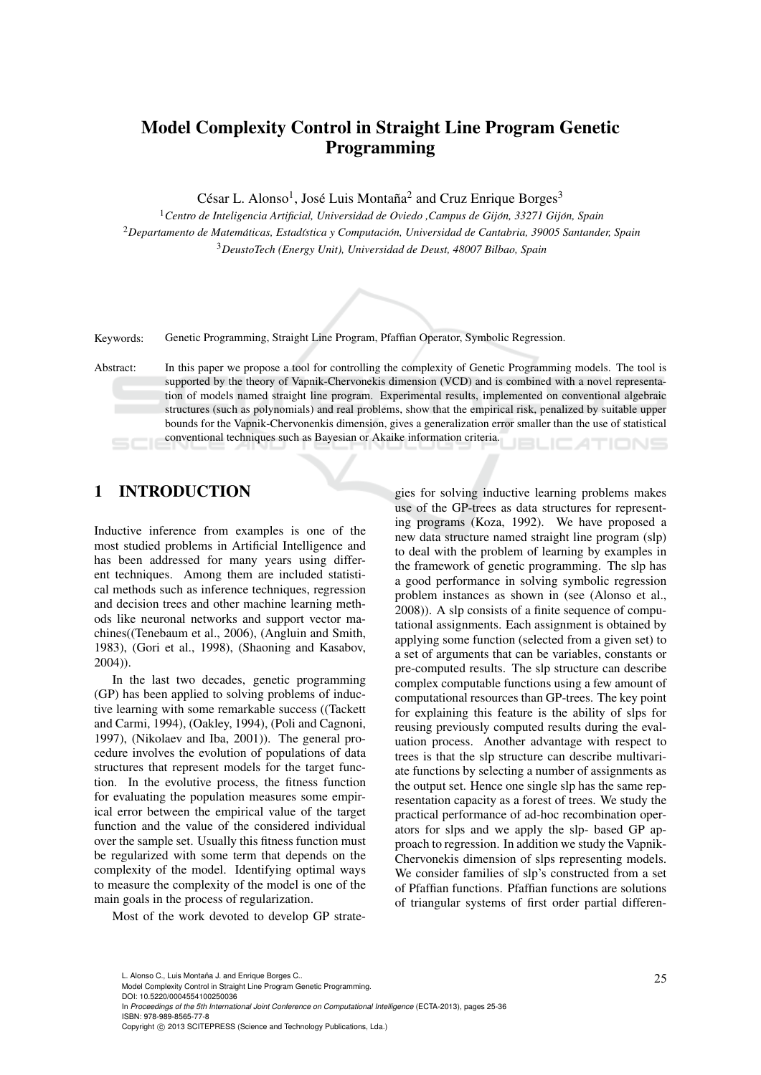# Model Complexity Control in Straight Line Program Genetic Programming

César L. Alonso<sup>1</sup>, José Luis Montaña<sup>2</sup> and Cruz Enrique Borges<sup>3</sup>

<sup>1</sup>*Centro de Inteligencia Artificial, Universidad de Oviedo ,Campus de Gijon, 33271 Gij ´ on, Spain ´* <sup>2</sup>*Departamento de Matematicas, Estad ´ ´ıstica y Computacion, Universidad de Cantabria, 39005 Santander, Spain ´* <sup>3</sup>*DeustoTech (Energy Unit), Universidad de Deust, 48007 Bilbao, Spain*



Keywords: Genetic Programming, Straight Line Program, Pfaffian Operator, Symbolic Regression.

Abstract: In this paper we propose a tool for controlling the complexity of Genetic Programming models. The tool is supported by the theory of Vapnik-Chervonekis dimension (VCD) and is combined with a novel representation of models named straight line program. Experimental results, implemented on conventional algebraic structures (such as polynomials) and real problems, show that the empirical risk, penalized by suitable upper bounds for the Vapnik-Chervonenkis dimension, gives a generalization error smaller than the use of statistical conventional techniques such as Bayesian or Akaike information criteria.

## 1 INTRODUCTION

Inductive inference from examples is one of the most studied problems in Artificial Intelligence and has been addressed for many years using different techniques. Among them are included statistical methods such as inference techniques, regression and decision trees and other machine learning methods like neuronal networks and support vector machines((Tenebaum et al., 2006), (Angluin and Smith, 1983), (Gori et al., 1998), (Shaoning and Kasabov, 2004)).

In the last two decades, genetic programming (GP) has been applied to solving problems of inductive learning with some remarkable success ((Tackett and Carmi, 1994), (Oakley, 1994), (Poli and Cagnoni, 1997), (Nikolaev and Iba, 2001)). The general procedure involves the evolution of populations of data structures that represent models for the target function. In the evolutive process, the fitness function for evaluating the population measures some empirical error between the empirical value of the target function and the value of the considered individual over the sample set. Usually this fitness function must be regularized with some term that depends on the complexity of the model. Identifying optimal ways to measure the complexity of the model is one of the main goals in the process of regularization.

Most of the work devoted to develop GP strate-

gies for solving inductive learning problems makes use of the GP-trees as data structures for representing programs (Koza, 1992). We have proposed a new data structure named straight line program (slp) to deal with the problem of learning by examples in the framework of genetic programming. The slp has a good performance in solving symbolic regression problem instances as shown in (see (Alonso et al., 2008)). A slp consists of a finite sequence of computational assignments. Each assignment is obtained by applying some function (selected from a given set) to a set of arguments that can be variables, constants or pre-computed results. The slp structure can describe complex computable functions using a few amount of computational resources than GP-trees. The key point for explaining this feature is the ability of slps for reusing previously computed results during the evaluation process. Another advantage with respect to trees is that the slp structure can describe multivariate functions by selecting a number of assignments as the output set. Hence one single slp has the same representation capacity as a forest of trees. We study the practical performance of ad-hoc recombination operators for slps and we apply the slp- based GP approach to regression. In addition we study the Vapnik-Chervonekis dimension of slps representing models. We consider families of slp's constructed from a set of Pfaffian functions. Pfaffian functions are solutions of triangular systems of first order partial differen-

DOI: 10.5220/0004554100250036

In *Proceedings of the 5th International Joint Conference on Computational Intelligence* (ECTA-2013), pages 25-36 ISBN: 978-989-8565-77-8

Copyright (C) 2013 SCITEPRESS (Science and Technology Publications, Lda.)

L. Alonso C., Luis Montaña J. and Enrique Borges C..<br>Model Complexity Control in Straight Line Program Genetic Programming.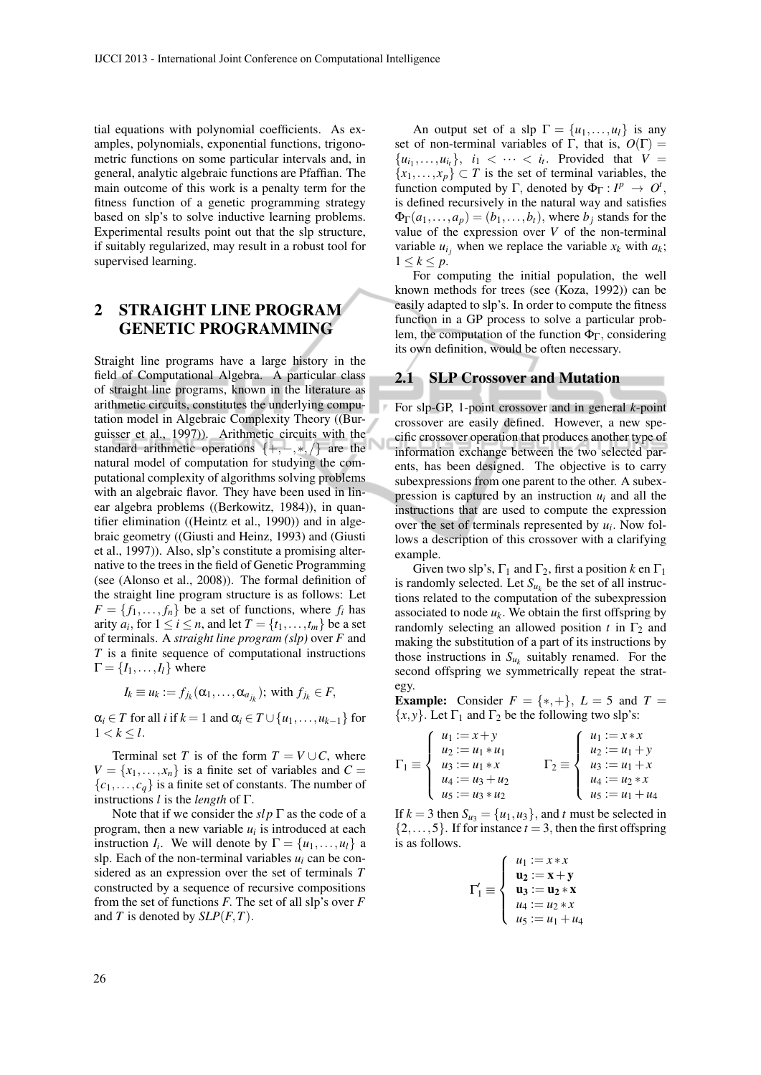tial equations with polynomial coefficients. As examples, polynomials, exponential functions, trigonometric functions on some particular intervals and, in general, analytic algebraic functions are Pfaffian. The main outcome of this work is a penalty term for the fitness function of a genetic programming strategy based on slp's to solve inductive learning problems. Experimental results point out that the slp structure, if suitably regularized, may result in a robust tool for supervised learning.

## 2 STRAIGHT LINE PROGRAM GENETIC PROGRAMMING

Straight line programs have a large history in the field of Computational Algebra. A particular class of straight line programs, known in the literature as arithmetic circuits, constitutes the underlying computation model in Algebraic Complexity Theory ((Burguisser et al., 1997)). Arithmetic circuits with the standard arithmetic operations {+,−,∗, /} are the natural model of computation for studying the computational complexity of algorithms solving problems with an algebraic flavor. They have been used in linear algebra problems ((Berkowitz, 1984)), in quantifier elimination ((Heintz et al., 1990)) and in algebraic geometry ((Giusti and Heinz, 1993) and (Giusti et al., 1997)). Also, slp's constitute a promising alternative to the trees in the field of Genetic Programming (see (Alonso et al., 2008)). The formal definition of the straight line program structure is as follows: Let  $F = \{f_1, \ldots, f_n\}$  be a set of functions, where  $f_i$  has arity  $a_i$ , for  $1 \le i \le n$ , and let  $T = \{t_1, \ldots, t_m\}$  be a set of terminals. A *straight line program (slp)* over *F* and *T* is a finite sequence of computational instructions  $\Gamma = \{I_1, \ldots, I_l\}$  where

$$
I_k \equiv u_k := f_{j_k}(\alpha_1, \ldots, \alpha_{a_{j_k}}); \text{ with } f_{j_k} \in F,
$$

 $\alpha_i \in T$  for all *i* if  $k = 1$  and  $\alpha_i \in T \cup \{u_1, \ldots, u_{k-1}\}$  for  $1 < k \leq l$ .

Terminal set *T* is of the form  $T = V \cup C$ , where  $V = \{x_1, \ldots, x_n\}$  is a finite set of variables and  $C =$  ${c_1, \ldots, c_q}$  is a finite set of constants. The number of instructions *l* is the *length* of Γ.

Note that if we consider the  $slp \Gamma$  as the code of a program, then a new variable  $u_i$  is introduced at each instruction *I<sub>i</sub>*. We will denote by  $\Gamma = \{u_1, \ldots, u_l\}$  a slp. Each of the non-terminal variables  $u_i$  can be considered as an expression over the set of terminals *T* constructed by a sequence of recursive compositions from the set of functions *F*. The set of all slp's over *F* and *T* is denoted by *SLP*(*F*,*T*).

An output set of a slp  $\Gamma = \{u_1, \ldots, u_l\}$  is any set of non-terminal variables of  $\Gamma$ , that is,  $O(\Gamma)$  =  $\{u_{i_1}, \ldots, u_{i_t}\}, i_1 < \cdots < i_t$ . Provided that  $V =$  ${x_1, \ldots, x_p} \subset T$  is the set of terminal variables, the function computed by  $\Gamma$ , denoted by  $\Phi_{\Gamma}: I^p \to O^t$ , is defined recursively in the natural way and satisfies  $\Phi_{\Gamma}(a_1,\ldots,a_n)=(b_1,\ldots,b_t)$ , where  $b_i$  stands for the value of the expression over *V* of the non-terminal variable  $u_i$ , when we replace the variable  $x_k$  with  $a_k$ ;  $1 \leq k \leq p$ .

For computing the initial population, the well known methods for trees (see (Koza, 1992)) can be easily adapted to slp's. In order to compute the fitness function in a GP process to solve a particular problem, the computation of the function  $\Phi_{\Gamma}$ , considering its own definition, would be often necessary.

#### 2.1 SLP Crossover and Mutation

For slp-GP, 1-point crossover and in general *k*-point crossover are easily defined. However, a new specific crossover operation that produces another type of information exchange between the two selected parents, has been designed. The objective is to carry subexpressions from one parent to the other. A subexpression is captured by an instruction  $u_i$  and all the instructions that are used to compute the expression over the set of terminals represented by  $u_i$ . Now follows a description of this crossover with a clarifying example.

Given two slp's,  $\Gamma_1$  and  $\Gamma_2$ , first a position *k* en  $\Gamma_1$ is randomly selected. Let  $S_{u_k}$  be the set of all instructions related to the computation of the subexpression associated to node  $u_k$ . We obtain the first offspring by randomly selecting an allowed position  $t$  in  $\Gamma_2$  and making the substitution of a part of its instructions by those instructions in  $S_{u_k}$  suitably renamed. For the second offspring we symmetrically repeat the strategy.

**Example:** Consider  $F = \{*, +\}, L = 5$  and  $T =$  $\{x, y\}$ . Let  $\Gamma_1$  and  $\Gamma_2$  be the following two slp's:

$$
\Gamma_1 \equiv \left\{ \begin{array}{l} u_1 := x + y \\ u_2 := u_1 * u_1 \\ u_3 := u_1 * x \\ u_4 := u_3 + u_2 \\ u_5 := u_3 * u_2 \end{array} \right. \quad \Gamma_2 \equiv \left\{ \begin{array}{l} u_1 := x * x \\ u_2 := u_1 + y \\ u_3 := u_1 + x \\ u_4 := u_2 * x \\ u_5 := u_1 + u_4 \end{array} \right.
$$

If  $k = 3$  then  $S_{u_3} = \{u_1, u_3\}$ , and *t* must be selected in  $\{2,\ldots,5\}$ . If for instance  $t=3$ , then the first offspring is as follows.

$$
\Gamma_1' \equiv \left\{ \begin{array}{l} u_1 := x * x \\ \mathbf{u}_2 := \mathbf{x} + \mathbf{y} \\ \mathbf{u}_3 := \mathbf{u}_2 * \mathbf{x} \\ u_4 := u_2 * x \\ u_5 := u_1 + u_4 \end{array} \right.
$$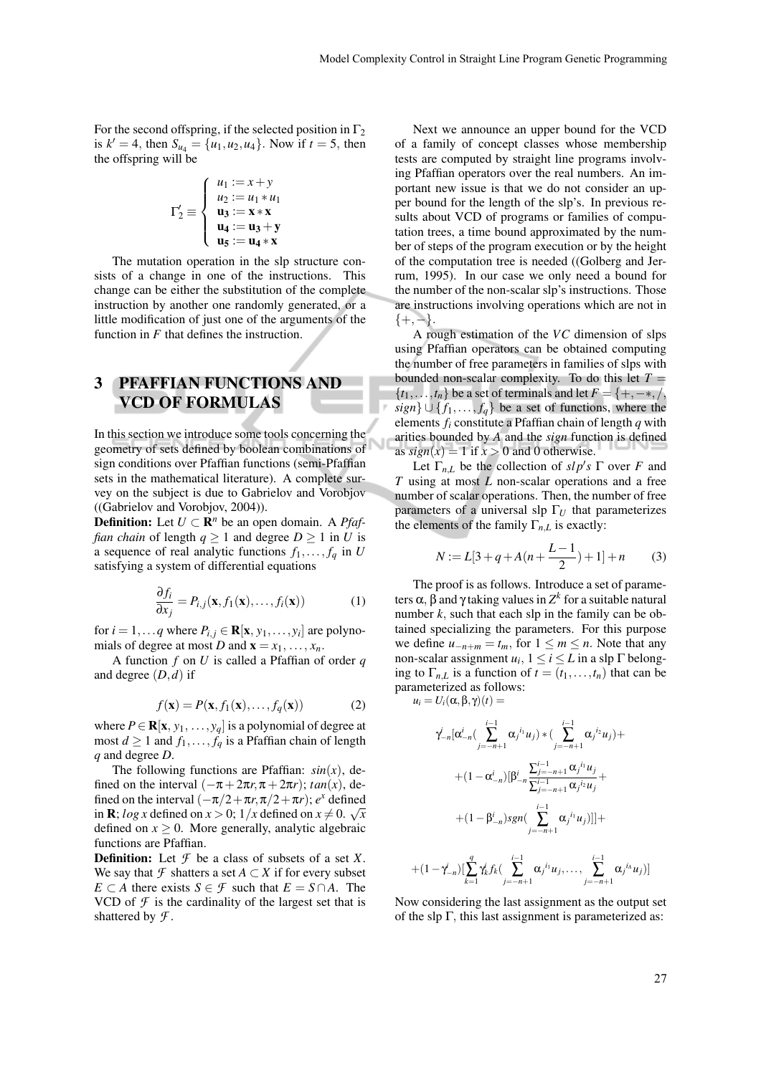For the second offspring, if the selected position in  $\Gamma_2$ is  $k' = 4$ , then  $S_{u_4} = {u_1, u_2, u_4}$ . Now if  $t = 5$ , then the offspring will be

$$
\Gamma_2' \equiv \left\{ \begin{array}{l} u_1 := x + y \\ u_2 := u_1 * u_1 \\ u_3 := x * x \\ u_4 := u_3 + y \\ u_5 := u_4 * x \end{array} \right.
$$

The mutation operation in the slp structure consists of a change in one of the instructions. This change can be either the substitution of the complete instruction by another one randomly generated, or a little modification of just one of the arguments of the function in *F* that defines the instruction.

## 3 PFAFFIAN FUNCTIONS AND VCD OF FORMULAS

In this section we introduce some tools concerning the geometry of sets defined by boolean combinations of sign conditions over Pfaffian functions (semi-Pfaffian sets in the mathematical literature). A complete survey on the subject is due to Gabrielov and Vorobjov ((Gabrielov and Vorobjov, 2004)).

**Definition:** Let  $U \subset \mathbb{R}^n$  be an open domain. A *Pfaffian chain* of length  $q \ge 1$  and degree  $D \ge 1$  in *U* is a sequence of real analytic functions  $f_1, \ldots, f_q$  in *U* satisfying a system of differential equations

$$
\frac{\partial f_i}{\partial x_j} = P_{i,j}(\mathbf{x}, f_1(\mathbf{x}), \dots, f_i(\mathbf{x})) \tag{1}
$$

for  $i = 1, \dots q$  where  $P_{i,j} \in \mathbf{R}[\mathbf{x}, y_1, \dots, y_i]$  are polynomials of degree at most *D* and  $\mathbf{x} = x_1, \dots, x_n$ .

A function *f* on *U* is called a Pfaffian of order *q* and degree (*D*,*d*) if

$$
f(\mathbf{x}) = P(\mathbf{x}, f_1(\mathbf{x}), \dots, f_q(\mathbf{x}))
$$
 (2)

where  $P \in \mathbf{R}[\mathbf{x}, y_1, \dots, y_q]$  is a polynomial of degree at most  $d \geq 1$  and  $f_1, \ldots, f_q$  is a Pfaffian chain of length *q* and degree *D*.

The following functions are Pfaffian: *sin*(*x*), defined on the interval  $(-\pi + 2\pi r, \pi + 2\pi r)$ ;  $tan(x)$ , defined on the interval  $\left(-\frac{\pi}{2}+\frac{\pi}{n}\pi/2+\frac{\pi}{n}\right)$ ; *e*<sup>x</sup> defined in **R**;  $\log x$  defined on  $x > 0$ ;  $1/x$  defined on  $x \neq 0$ .  $\sqrt{x}$ defined on  $x \geq 0$ . More generally, analytic algebraic functions are Pfaffian.

**Definition:** Let  $\mathcal F$  be a class of subsets of a set *X*. We say that *F* shatters a set *A*  $\subset$  *X* if for every subset *E* ⊂ *A* there exists *S* ∈ *F* such that *E* = *S* ∩ *A*. The VCD of  $\mathcal F$  is the cardinality of the largest set that is shattered by *F* .

Next we announce an upper bound for the VCD of a family of concept classes whose membership tests are computed by straight line programs involving Pfaffian operators over the real numbers. An important new issue is that we do not consider an upper bound for the length of the slp's. In previous results about VCD of programs or families of computation trees, a time bound approximated by the number of steps of the program execution or by the height of the computation tree is needed ((Golberg and Jerrum, 1995). In our case we only need a bound for the number of the non-scalar slp's instructions. Those are instructions involving operations which are not in {+,−}.

A rough estimation of the *VC* dimension of slps using Pfaffian operators can be obtained computing the number of free parameters in families of slps with bounded non-scalar complexity. To do this let  $T =$  $\{t_1,\ldots,t_n\}$  be a set of terminals and let  $F = \{+, -*, /,\}$  $sign$ }  $\cup$  { $f_1, \ldots, f_q$ } be a set of functions, where the elements *f<sup>i</sup>* constitute a Pfaffian chain of length *q* with arities bounded by *A* and the *sign* function is defined as  $sign(x) = 1$  if  $x > 0$  and 0 otherwise.

Let  $\Gamma_{n,L}$  be the collection of  $slp's \Gamma$  over *F* and *T* using at most *L* non-scalar operations and a free number of scalar operations. Then, the number of free parameters of a universal slp  $\Gamma$ <sub>*U*</sub> that parameterizes the elements of the family  $\Gamma_{n,L}$  is exactly:

$$
N := L[3 + q + A(n + \frac{L-1}{2}) + 1] + n \tag{3}
$$

The proof is as follows. Introduce a set of parameters  $\alpha$ ,  $\beta$  and  $\gamma$  taking values in  $Z^k$  for a suitable natural number *k*, such that each slp in the family can be obtained specializing the parameters. For this purpose we define  $u_{-n+m} = t_m$ , for  $1 \le m \le n$ . Note that any non-scalar assignment  $u_i$ ,  $1 \le i \le L$  in a slp  $\Gamma$  belonging to  $\Gamma_{n,L}$  is a function of  $t = (t_1, \ldots, t_n)$  that can be parameterized as follows:

 $u_i = U_i(\alpha, \beta, \gamma)(t) =$ 

$$
\gamma_{-n}^{j} [\alpha_{-n}^{i} (\sum_{j=-n+1}^{i-1} \alpha_{j}^{i_{1}} u_{j}) * (\sum_{j=-n+1}^{i-1} \alpha_{j}^{i_{2}} u_{j}) +
$$
  
+ 
$$
+ (1 - \alpha_{-n}^{i}) [\beta_{-n}^{i} \sum_{j=-n+1}^{i-1} \alpha_{j}^{i_{1}} u_{j} +
$$
  
+ 
$$
+ (1 - \beta_{-n}^{i}) sgn (\sum_{j=-n+1}^{i-1} \alpha_{j}^{i_{1}} u_{j})]] +
$$

$$
+(1-\gamma_{-n}^{i})\left[\sum_{k=1}^{q}\gamma_{k}^{i}f_{k}\left(\sum_{j=-n+1}^{i-1}\alpha_{j}^{i_{1}}u_{j},\ldots,\sum_{j=-n+1}^{i-1}\alpha_{j}^{i_{A}}u_{j}\right)\right]
$$

Now considering the last assignment as the output set of the slp  $\Gamma$ , this last assignment is parameterized as: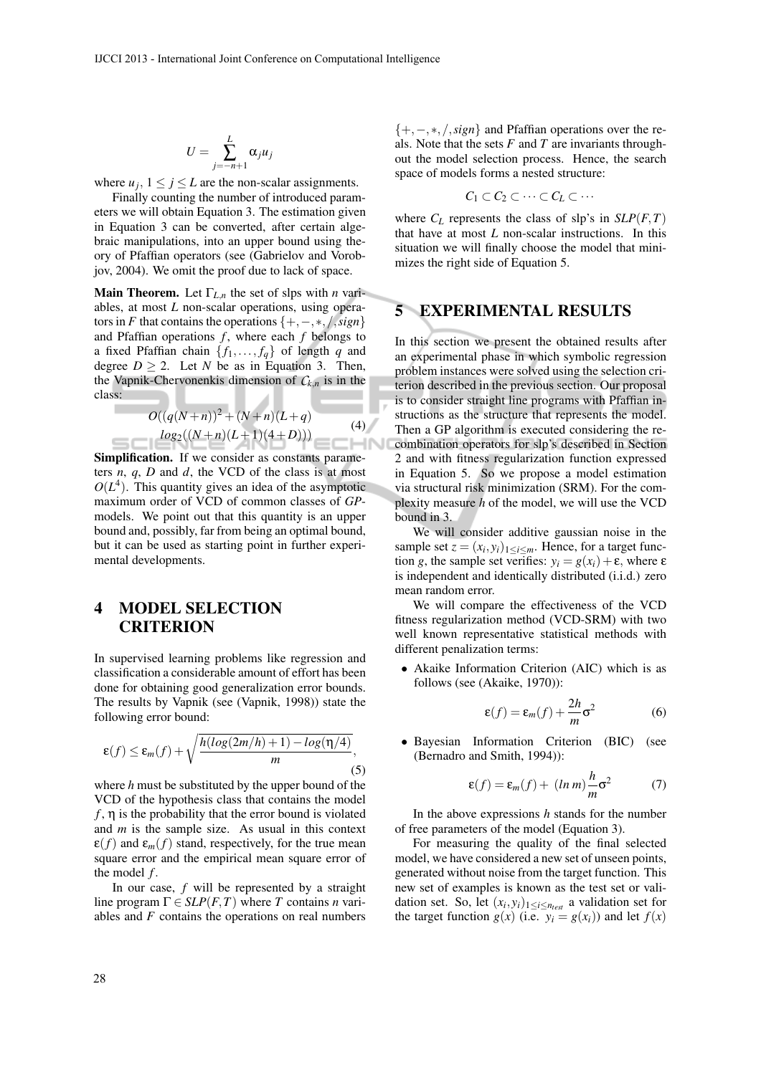$$
U=\sum_{j=-n+1}^L \alpha_j u_j
$$

where  $u_j$ ,  $1 \le j \le L$  are the non-scalar assignments.

Finally counting the number of introduced parameters we will obtain Equation 3. The estimation given in Equation 3 can be converted, after certain algebraic manipulations, into an upper bound using theory of Pfaffian operators (see (Gabrielov and Vorobjov, 2004). We omit the proof due to lack of space.

**Main Theorem.** Let  $\Gamma_{L,n}$  the set of slps with *n* variables, at most *L* non-scalar operations, using operators in *F* that contains the operations  $\{+,-,*,/,sign\}$ and Pfaffian operations *f* , where each *f* belongs to a fixed Pfaffian chain  $\{f_1, \ldots, f_q\}$  of length *q* and degree  $D \ge 2$ . Let *N* be as in Equation 3. Then, the Vapnik-Chervonenkis dimension of  $C_{k,n}$  is in the class: п

$$
O((q(N+n))^{2} + (N+n)(L+q)
$$
  

$$
log_2((N+n)(L+1)(4+D)))
$$
 (4)

Simplification. If we consider as constants parameters *n*, *q*, *D* and *d*, the VCD of the class is at most  $O(L<sup>4</sup>)$ . This quantity gives an idea of the asymptotic maximum order of VCD of common classes of *GP*models. We point out that this quantity is an upper bound and, possibly, far from being an optimal bound, but it can be used as starting point in further experimental developments.

### 4 MODEL SELECTION **CRITERION**

In supervised learning problems like regression and classification a considerable amount of effort has been done for obtaining good generalization error bounds. The results by Vapnik (see (Vapnik, 1998)) state the following error bound:

$$
\varepsilon(f) \leq \varepsilon_m(f) + \sqrt{\frac{h(\log(2m/h) + 1) - \log(\eta/4)}{m}},\tag{5}
$$

where *h* must be substituted by the upper bound of the VCD of the hypothesis class that contains the model  $f$ ,  $\eta$  is the probability that the error bound is violated and *m* is the sample size. As usual in this context  $\varepsilon(f)$  and  $\varepsilon_m(f)$  stand, respectively, for the true mean square error and the empirical mean square error of the model *f*.

In our case, *f* will be represented by a straight line program  $\Gamma \in SLP(F,T)$  where *T* contains *n* variables and *F* contains the operations on real numbers

{+,−,∗, /,*sign*} and Pfaffian operations over the reals. Note that the sets *F* and *T* are invariants throughout the model selection process. Hence, the search space of models forms a nested structure:

$$
C_1 \subset C_2 \subset \cdots \subset C_L \subset \cdots
$$

where  $C_L$  represents the class of slp's in  $SLP(F,T)$ that have at most *L* non-scalar instructions. In this situation we will finally choose the model that minimizes the right side of Equation 5.

### 5 EXPERIMENTAL RESULTS

In this section we present the obtained results after an experimental phase in which symbolic regression problem instances were solved using the selection criterion described in the previous section. Our proposal is to consider straight line programs with Pfaffian instructions as the structure that represents the model. Then a GP algorithm is executed considering the recombination operators for slp's described in Section 2 and with fitness regularization function expressed in Equation 5. So we propose a model estimation via structural risk minimization (SRM). For the complexity measure *h* of the model, we will use the VCD bound in 3.

We will consider additive gaussian noise in the sample set  $z = (x_i, y_i)_{1 \leq i \leq m}$ . Hence, for a target function *g*, the sample set verifies:  $y_i = g(x_i) + \varepsilon$ , where  $\varepsilon$ is independent and identically distributed (i.i.d.) zero mean random error.

We will compare the effectiveness of the VCD fitness regularization method (VCD-SRM) with two well known representative statistical methods with different penalization terms:

• Akaike Information Criterion (AIC) which is as follows (see (Akaike, 1970)):

$$
\mathbf{\varepsilon}(f) = \mathbf{\varepsilon}_m(f) + \frac{2h}{m}\sigma^2\tag{6}
$$

• Bayesian Information Criterion (BIC) (see (Bernadro and Smith, 1994)):

$$
\mathbf{\varepsilon}(f) = \mathbf{\varepsilon}_m(f) + (ln \, m) \frac{h}{m} \mathbf{\sigma}^2 \tag{7}
$$

In the above expressions *h* stands for the number of free parameters of the model (Equation 3).

For measuring the quality of the final selected model, we have considered a new set of unseen points, generated without noise from the target function. This new set of examples is known as the test set or validation set. So, let  $(x_i, y_i)_{1 \leq i \leq n_{test}}$  a validation set for the target function  $g(x)$  (i.e.  $y_i = g(x_i)$ ) and let  $f(x)$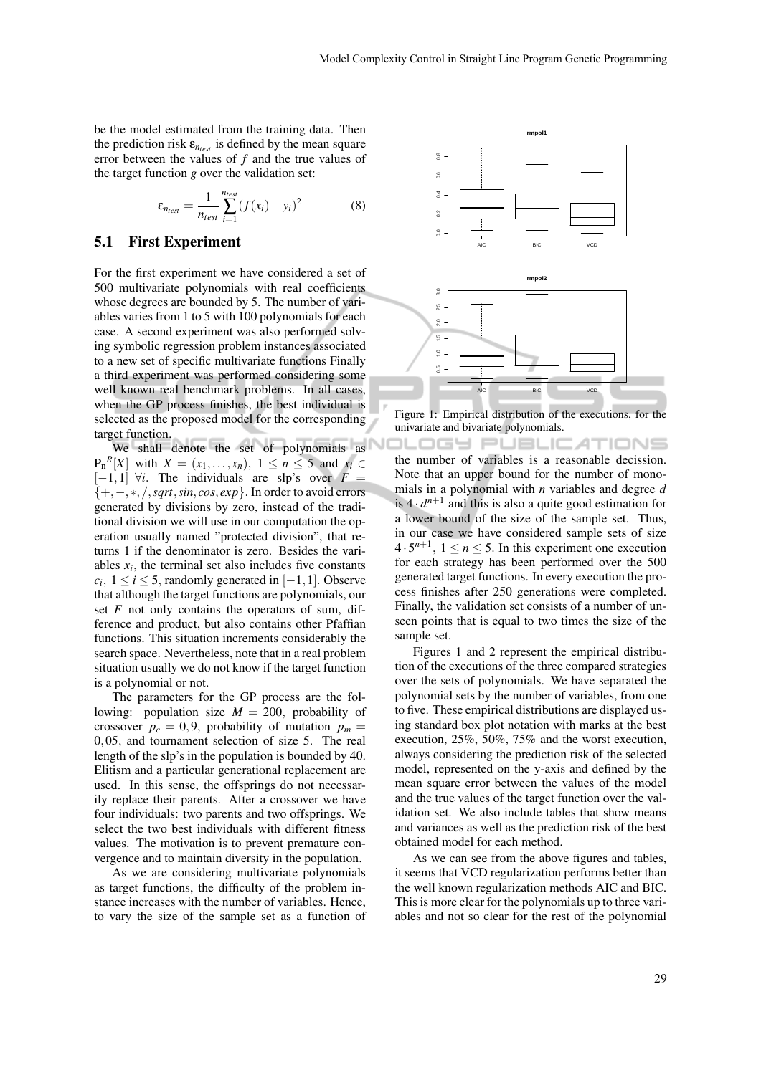be the model estimated from the training data. Then the prediction risk  $\varepsilon_{n_{test}}$  is defined by the mean square error between the values of *f* and the true values of the target function *g* over the validation set:

$$
\varepsilon_{n_{test}} = \frac{1}{n_{test}} \sum_{i=1}^{n_{test}} (f(x_i) - y_i)^2
$$
 (8)

#### 5.1 First Experiment

For the first experiment we have considered a set of 500 multivariate polynomials with real coefficients whose degrees are bounded by 5. The number of variables varies from 1 to 5 with 100 polynomials for each case. A second experiment was also performed solving symbolic regression problem instances associated to a new set of specific multivariate functions Finally a third experiment was performed considering some well known real benchmark problems. In all cases, when the GP process finishes, the best individual is selected as the proposed model for the corresponding target function.

We shall denote the set of polynomials as  $P_n^R[X]$  with  $X = (x_1, \ldots, x_n), 1 \le n \le 5$  and  $x_i \in$  $[-1,1]$   $\forall i$ . The individuals are slp's over *F* = {+,−,∗, /,*sqrt*,*sin*, *cos*, *exp*}. In order to avoid errors generated by divisions by zero, instead of the traditional division we will use in our computation the operation usually named "protected division", that returns 1 if the denominator is zero. Besides the variables  $x_i$ , the terminal set also includes five constants  $c_i$ ,  $1 \le i \le 5$ , randomly generated in  $[-1,1]$ . Observe that although the target functions are polynomials, our set *F* not only contains the operators of sum, difference and product, but also contains other Pfaffian functions. This situation increments considerably the search space. Nevertheless, note that in a real problem situation usually we do not know if the target function is a polynomial or not.

The parameters for the GP process are the following: population size  $M = 200$ , probability of crossover  $p_c = 0.9$ , probability of mutation  $p_m =$ 0,05, and tournament selection of size 5. The real length of the slp's in the population is bounded by 40. Elitism and a particular generational replacement are used. In this sense, the offsprings do not necessarily replace their parents. After a crossover we have four individuals: two parents and two offsprings. We select the two best individuals with different fitness values. The motivation is to prevent premature convergence and to maintain diversity in the population.

As we are considering multivariate polynomials as target functions, the difficulty of the problem instance increases with the number of variables. Hence, to vary the size of the sample set as a function of



Figure 1: Empirical distribution of the executions, for the univariate and bivariate polynomials.

ILOGY PUBLIC*A*TIONS the number of variables is a reasonable decission. Note that an upper bound for the number of monomials in a polynomial with *n* variables and degree *d* is  $4 \cdot d^{n+1}$  and this is also a quite good estimation for a lower bound of the size of the sample set. Thus, in our case we have considered sample sets of size  $4 \cdot 5^{n+1}$ ,  $1 \le n \le 5$ . In this experiment one execution for each strategy has been performed over the 500 generated target functions. In every execution the process finishes after 250 generations were completed. Finally, the validation set consists of a number of unseen points that is equal to two times the size of the sample set.

Figures 1 and 2 represent the empirical distribution of the executions of the three compared strategies over the sets of polynomials. We have separated the polynomial sets by the number of variables, from one to five. These empirical distributions are displayed using standard box plot notation with marks at the best execution, 25%, 50%, 75% and the worst execution, always considering the prediction risk of the selected model, represented on the y-axis and defined by the mean square error between the values of the model and the true values of the target function over the validation set. We also include tables that show means and variances as well as the prediction risk of the best obtained model for each method.

As we can see from the above figures and tables, it seems that VCD regularization performs better than the well known regularization methods AIC and BIC. This is more clear for the polynomials up to three variables and not so clear for the rest of the polynomial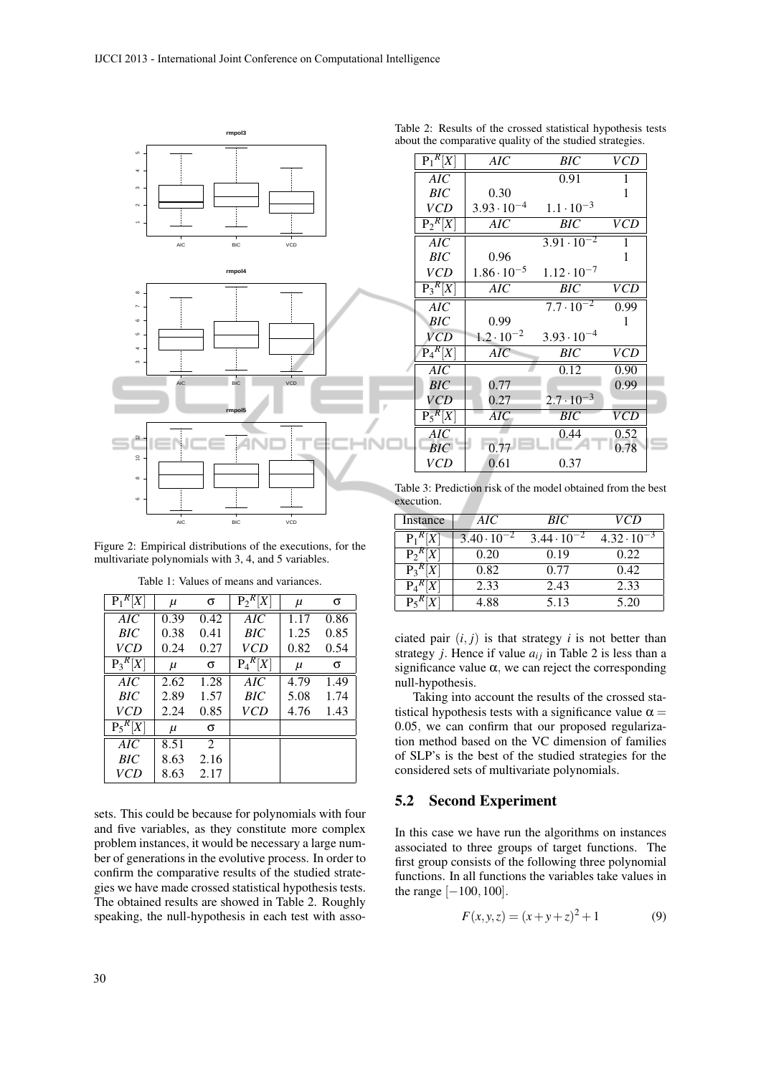

Figure 2: Empirical distributions of the executions, for the multivariate polynomials with 3, 4, and 5 variables.

| $P_1^R[X]$ | $\mu$ | σ              | $P_2^R[X]$            | $\mu$ | σ    |
|------------|-------|----------------|-----------------------|-------|------|
| AIC        | 0.39  | 0.42           | AIC                   | 1.17  | 0.86 |
| BIC        | 0.38  | 0.41           | BIC                   | 1.25  | 0.85 |
| VCD        | 0.24  | 0.27           | VCD                   | 0.82  | 0.54 |
| $P_3^R[X]$ | $\mu$ | σ              | $\overline{P_4^R[X]}$ | $\mu$ | σ    |
| AIC        | 2.62  | 1.28           | AIC                   | 4.79  | 1.49 |
| BIC        | 2.89  | 1.57           | BIC                   | 5.08  | 1.74 |
| VCD        | 2.24  | 0.85           | <b>VCD</b>            | 4.76  | 1.43 |
| $P_5^R[X]$ | $\mu$ | σ              |                       |       |      |
| AIC        | 8.51  | $\mathfrak{D}$ |                       |       |      |
| BIC        | 8.63  | 2.16           |                       |       |      |
| VCD        | 8.63  | 2.17           |                       |       |      |

Table 1: Values of means and variances.

sets. This could be because for polynomials with four and five variables, as they constitute more complex problem instances, it would be necessary a large number of generations in the evolutive process. In order to confirm the comparative results of the studied strategies we have made crossed statistical hypothesis tests. The obtained results are showed in Table 2. Roughly speaking, the null-hypothesis in each test with asso-

|  |  | Table 2: Results of the crossed statistical hypothesis tests |  |
|--|--|--------------------------------------------------------------|--|
|  |  | about the comparative quality of the studied strategies.     |  |

| $P_1^R[X]$                    | AIC                  | BIC                  | VCD               |  |
|-------------------------------|----------------------|----------------------|-------------------|--|
| AIC                           |                      | 0.91                 | 1                 |  |
| BIC                           | 0.30                 |                      | 1                 |  |
| <b>VCD</b>                    | $3.93 \cdot 10^{-4}$ | $1.1 \cdot 10^{-3}$  |                   |  |
| $P_2^R[X]$                    | AIC                  | BIC                  | <b>VCD</b>        |  |
| AIC                           |                      | $3.91 \cdot 10^{-2}$ | 1                 |  |
| BIC                           | 0.96                 |                      | 1                 |  |
| <b>VCD</b>                    | $1.86 \cdot 10^{-5}$ | $1.12 \cdot 10^{-7}$ |                   |  |
| $P_3^R[X]$                    | AIC                  | BIC                  | <b>VCD</b>        |  |
| AIC                           |                      | $7.7 \cdot 10^{-2}$  | 0.99              |  |
| BIC                           | 0.99                 |                      | 1                 |  |
| <b>VCD</b>                    | $1.2 \cdot 10^{-2}$  | $3.93 \cdot 10^{-4}$ |                   |  |
| $\overline{{{\rm P}_4}^R[X]}$ | AIC                  | BIC                  | <b>VCD</b>        |  |
| AIC                           |                      | 0.12                 | 0.90              |  |
| BIC                           | 0.77                 |                      | 0.99              |  |
| VCD                           | 0.27                 | $2.7 \cdot 10^{-3}$  |                   |  |
| $\overline{P_5^R[X]}$         | AIC                  | <b>BIC</b>           | <b>VCD</b>        |  |
| $\overline{AIC}$              |                      | 0.44                 | $\overline{0.52}$ |  |
| BIC                           | 0.77                 |                      | 0.78              |  |
| <b>VCD</b>                    | 0.61                 | 0.37                 |                   |  |
|                               |                      |                      |                   |  |

Table 3: Prediction risk of the model obtained from the best execution.

| Instance        | AIC                  | BIC                  | VCD                  |
|-----------------|----------------------|----------------------|----------------------|
| P1              | $3.40 \cdot 10^{-2}$ | $3.44 \cdot 10^{-2}$ | $4.32 \cdot 10^{-3}$ |
| $P_2^{\Lambda}$ | 0.20                 | 0.19                 | 0.22                 |
| $P_3^R$         | 0.82                 | 0.77                 | 0.42                 |
|                 | 2.33                 | 2.43                 | 2.33                 |
|                 | 4.88                 | 5.13                 | 5.20                 |

ciated pair  $(i, j)$  is that strategy *i* is not better than strategy *j*. Hence if value  $a_{ij}$  in Table 2 is less than a significance value  $\alpha$ , we can reject the corresponding null-hypothesis.

Taking into account the results of the crossed statistical hypothesis tests with a significance value  $\alpha =$ 0.05, we can confirm that our proposed regularization method based on the VC dimension of families of SLP's is the best of the studied strategies for the considered sets of multivariate polynomials.

#### 5.2 Second Experiment

In this case we have run the algorithms on instances associated to three groups of target functions. The first group consists of the following three polynomial functions. In all functions the variables take values in the range  $[-100, 100]$ .

$$
F(x, y, z) = (x + y + z)^2 + 1
$$
 (9)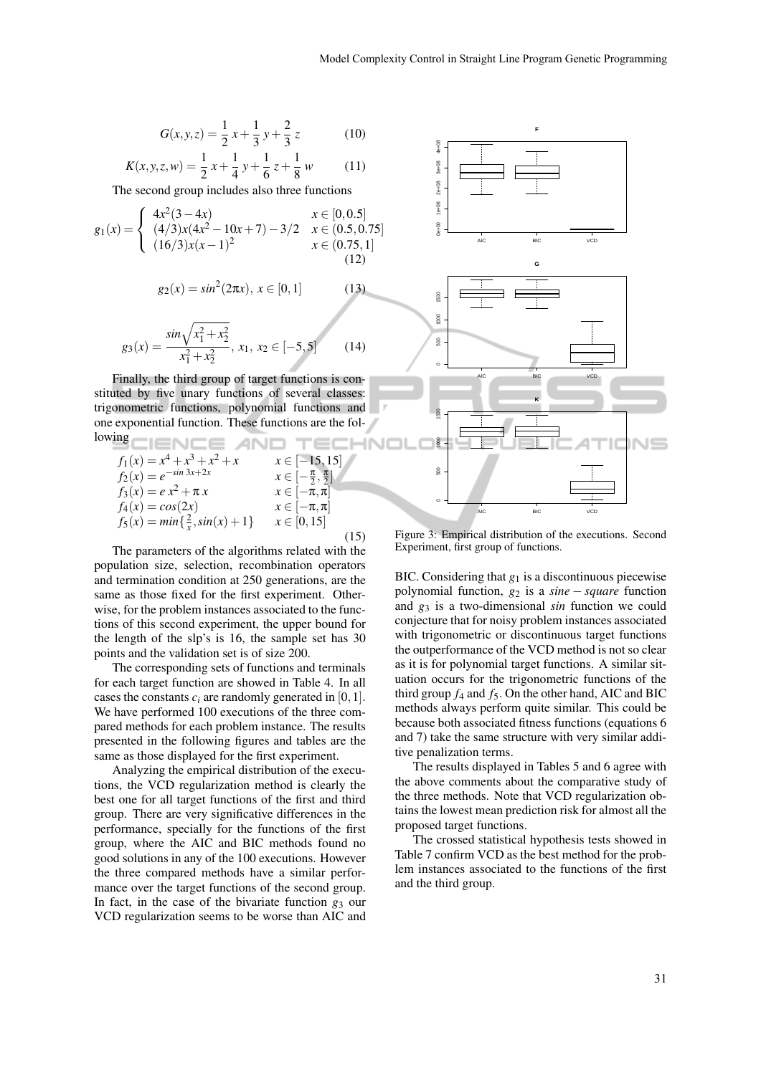$$
G(x, y, z) = \frac{1}{2}x + \frac{1}{3}y + \frac{2}{3}z
$$
 (10)

$$
K(x, y, z, w) = \frac{1}{2}x + \frac{1}{4}y + \frac{1}{6}z + \frac{1}{8}w
$$
 (11)

The second group includes also three functions

$$
g_1(x) = \begin{cases} 4x^2(3-4x) & x \in [0,0.5] \\ (4/3)x(4x^2-10x+7)-3/2 & x \in (0.5,0.75] \\ (16/3)x(x-1)^2 & x \in (0.75,1] \\ (12) & \end{cases}
$$

$$
g_2(x) = \sin^2(2\pi x), x \in [0, 1]
$$

 $(13)$ 

$$
g_3(x) = \frac{\sin\sqrt{x_1^2 + x_2^2}}{x_1^2 + x_2^2}, x_1, x_2 \in [-5, 5]
$$
 (14)

Finally, the third group of target functions is constituted by five unary functions of several classes: trigonometric functions, polynomial functions and one exponential function. These functions are the fol $lowing$   $\Box$ AN.

$$
f_1(x) = x^4 + x^3 + x^2 + x
$$
  
\n
$$
f_2(x) = e^{-\sin 3x + 2x}
$$
  
\n
$$
f_3(x) = e^{-x^2} + \pi x
$$
  
\n
$$
f_4(x) = \cos(2x)
$$
  
\n
$$
f_5(x) = \min\{\frac{2}{x}, \sin(x) + 1\}
$$
  
\n
$$
x \in [-\pi, \pi]
$$
  
\n
$$
x \in [-\pi, \pi]
$$
  
\n
$$
x \in [-\pi, \pi]
$$
  
\n
$$
x \in [0, 15]
$$
  
\n(15)

The parameters of the algorithms related with the population size, selection, recombination operators and termination condition at 250 generations, are the same as those fixed for the first experiment. Otherwise, for the problem instances associated to the functions of this second experiment, the upper bound for the length of the slp's is 16, the sample set has 30 points and the validation set is of size 200.

The corresponding sets of functions and terminals for each target function are showed in Table 4. In all cases the constants  $c_i$  are randomly generated in [0, 1]. We have performed 100 executions of the three compared methods for each problem instance. The results presented in the following figures and tables are the same as those displayed for the first experiment.

Analyzing the empirical distribution of the executions, the VCD regularization method is clearly the best one for all target functions of the first and third group. There are very significative differences in the performance, specially for the functions of the first group, where the AIC and BIC methods found no good solutions in any of the 100 executions. However the three compared methods have a similar performance over the target functions of the second group. In fact, in the case of the bivariate function  $g_3$  our VCD regularization seems to be worse than AIC and



Figure 3: Empirical distribution of the executions. Second Experiment, first group of functions.

BIC. Considering that  $g_1$  is a discontinuous piecewise polynomial function, *g*<sup>2</sup> is a *sine* − *square* function and *g*<sup>3</sup> is a two-dimensional *sin* function we could conjecture that for noisy problem instances associated with trigonometric or discontinuous target functions the outperformance of the VCD method is not so clear as it is for polynomial target functions. A similar situation occurs for the trigonometric functions of the third group  $f_4$  and  $f_5$ . On the other hand, AIC and BIC methods always perform quite similar. This could be because both associated fitness functions (equations 6 and 7) take the same structure with very similar additive penalization terms.

The results displayed in Tables 5 and 6 agree with the above comments about the comparative study of the three methods. Note that VCD regularization obtains the lowest mean prediction risk for almost all the proposed target functions.

The crossed statistical hypothesis tests showed in Table 7 confirm VCD as the best method for the problem instances associated to the functions of the first and the third group.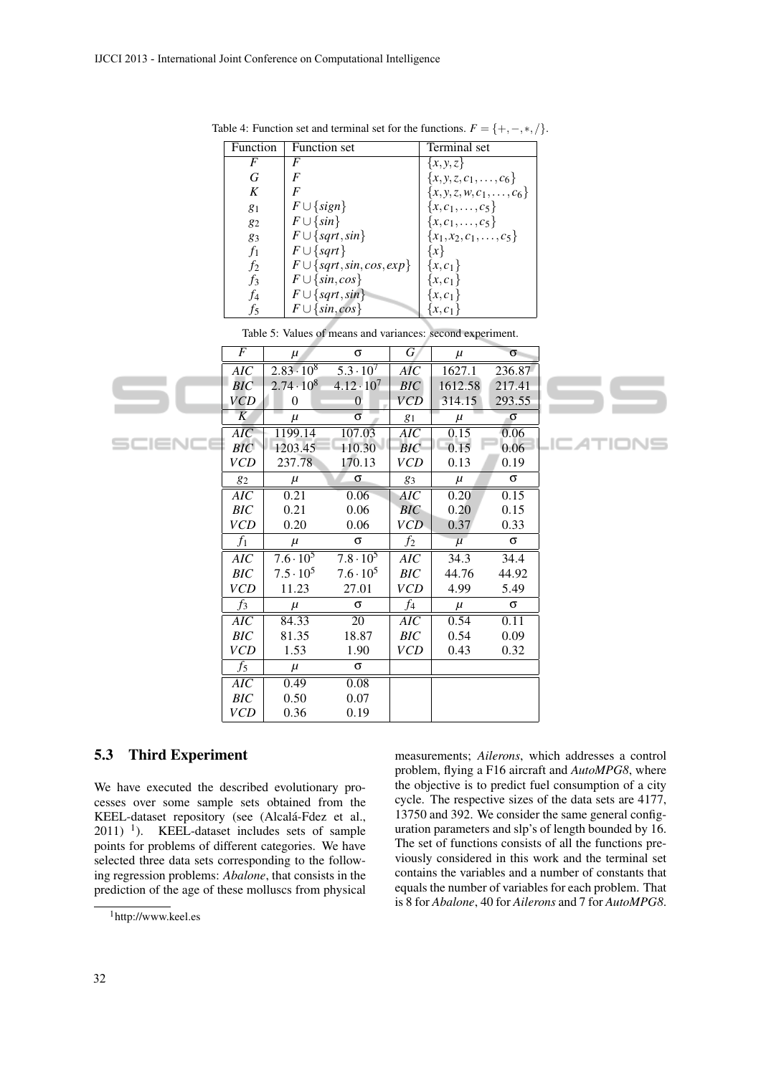| Function | <b>Function set</b>              | Terminal set                     |
|----------|----------------------------------|----------------------------------|
| F        | F                                | $\{x,y,z\}$                      |
| G        | F                                | ${x, y, z, c_1, \ldots, c_6}$    |
| K        | F                                | ${x, y, z, w, c_1, \ldots, c_6}$ |
| $g_1$    | $F \cup \{sign\}$                | $\{x,c_1,\ldots,c_5\}$           |
| 82       | $F \cup \{sin\}$                 | $\{x,c_1,\ldots,c_5\}$           |
| 83       | $F \cup \{sqrt, sin\}$           | ${x_1, x_2, c_1, \ldots, c_5}$   |
| $f_1$    | $F \cup \{sqrt\}$                | $\{x\}$                          |
| $f_2$    | $F \cup \{sqrt, sin, cos, exp\}$ | ${x, c_1}$                       |
| $f_3$    | $F \cup \{sin, cos\}$            | ${x, c_1}$                       |
| f4       | $F \cup \{sqrt, sin\}$           | ${x, c_1}$                       |
| Ť5       | $F \cup \{sin, cos\}$            | $x, c_1$                         |

Table 4: Function set and terminal set for the functions.  $F = \{+, -, *, / \}$ .

Table 5: Values of means and variances: second experiment.

|       | F                | $\mu$              | σ                   | G                | $\mu$   | $\sigma$ |  |
|-------|------------------|--------------------|---------------------|------------------|---------|----------|--|
|       | AIC              | $2.83 \cdot 10^8$  | $5.3 \cdot 10^{7}$  | AIC              | 1627.1  | 236.87   |  |
|       | <b>BIC</b>       | $2.74 \cdot 10^8$  | $4.12 \cdot 10^{7}$ | BIC              | 1612.58 | 217.41   |  |
|       | <b>VCD</b>       | $\Omega$           | $\overline{0}$      | <b>VCD</b>       | 314.15  | 293.55   |  |
|       | K                | $\mu$              | $\sigma$            | $g_1$            | $\mu$   | $\sigma$ |  |
|       | AIC              | 1199.14            | 107.03              | AIC              | 0.15    | 0.06     |  |
| scier | BIC              | 1203.45            | 110.30              | <b>BIC</b>       | 0.15    | 0.06     |  |
|       | <b>VCD</b>       | 237.78             | 170.13              | VCD              | 0.13    | 0.19     |  |
|       | 82               | $\mu$              | $\sigma$            | 83               | $\mu$   | $\sigma$ |  |
|       | $\overline{AIC}$ | 0.21               | 0.06                | $\overline{AIC}$ | 0.20    | 0.15     |  |
|       | BIC              | 0.21               | 0.06                | BIC              | 0.20    | 0.15     |  |
|       | <b>VCD</b>       | 0.20               | 0.06                | <b>VCD</b>       | 0.37    | 0.33     |  |
|       |                  |                    |                     |                  |         |          |  |
|       | $f_1$            | $\mu$              | $\sigma$            | $f_2$            | $\mu$   | $\sigma$ |  |
|       | AIC              | $7.6 \cdot 10^{5}$ | $7.8 \cdot 10^5$    | AIC              | 34.3    | 34.4     |  |
|       | BIC              | $7.5 \cdot 10^5$   | $7.6 \cdot 10^5$    | BIC              | 44.76   | 44.92    |  |
|       | <b>VCD</b>       | 11.23              | 27.01               | VCD              | 4.99    | 5.49     |  |
|       | $f_3$            | $\mu$              | σ                   | $f_4$            | $\mu$   | $\sigma$ |  |
|       | $\overline{AIC}$ | 84.33              | $\overline{20}$     | $\overline{AIC}$ | 0.54    | 0.11     |  |
|       | BIC              | 81.35              | 18.87               | BIC              | 0.54    | 0.09     |  |
|       | <b>VCD</b>       | 1.53               | 1.90                | <b>VCD</b>       | 0.43    | 0.32     |  |
|       | $f_5$            | $\mu$              | $\sigma$            |                  |         |          |  |
|       | AIC              | 0.49               | 0.08                |                  |         |          |  |
|       | BIC              | 0.50               | 0.07                |                  |         |          |  |

### 5.3 Third Experiment

We have executed the described evolutionary processes over some sample sets obtained from the KEEL-dataset repository (see (Alcalá-Fdez et al.,  $2011$ )<sup>1</sup>). KEEL-dataset includes sets of sample points for problems of different categories. We have selected three data sets corresponding to the following regression problems: *Abalone*, that consists in the prediction of the age of these molluscs from physical measurements; *Ailerons*, which addresses a control problem, flying a F16 aircraft and *AutoMPG8*, where the objective is to predict fuel consumption of a city cycle. The respective sizes of the data sets are 4177, 13750 and 392. We consider the same general configuration parameters and slp's of length bounded by 16. The set of functions consists of all the functions previously considered in this work and the terminal set contains the variables and a number of constants that equals the number of variables for each problem. That is 8 for *Abalone*, 40 for *Ailerons* and 7 for *AutoMPG8*.

<sup>1</sup>http://www.keel.es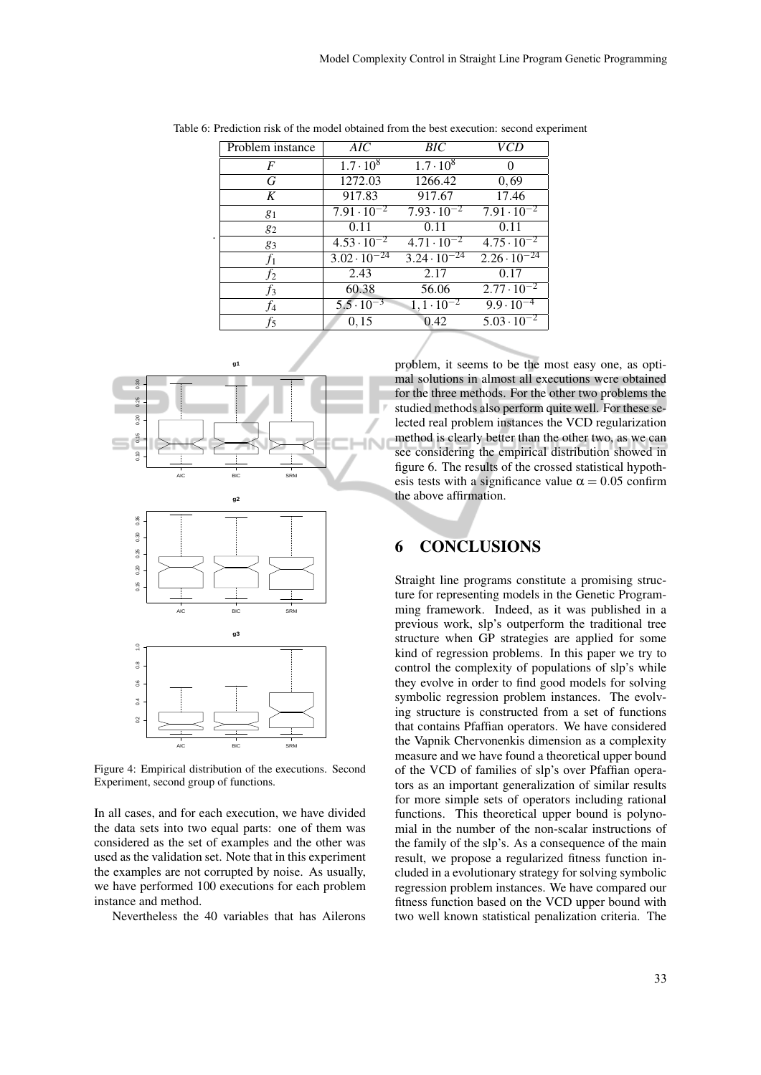| Problem instance | AIC                         | BIC                   | VCD                             |
|------------------|-----------------------------|-----------------------|---------------------------------|
| F                | $1.\overline{7 \cdot 10^8}$ | $1.7 \cdot 10^{8}$    |                                 |
| G                | 1272.03                     | 1266.42               | 0,69                            |
| K                | 917.83                      | 917.67                | 17.46                           |
| 81               | $7.91 \cdot 10^{-2}$        | $7.93 \cdot 10^{-2}$  | $\overline{7.91} \cdot 10^{-2}$ |
| 82               | 0.11                        | 0.11                  | 0.11                            |
| 83               | $4.53 \cdot 10^{-2}$        | $4.71 \cdot 10^{-2}$  | $4.75 \cdot 10^{-2}$            |
| $f_1$            | $3.02 \cdot 10^{-24}$       | $3.24 \cdot 10^{-24}$ | $2.26 \cdot 10^{-24}$           |
| $f_2$            | 2.43                        | 2.17                  | 0.17                            |
| $f_3$            | 60.38                       | 56.06                 | $2.77 \cdot 10^{-2}$            |
| $f_4$            | $5.5 \cdot 10^{-3}$         | $1, 1 \cdot 10^{-2}$  | $9.9 \cdot 10^{-4}$             |
| f5               | 0, 15                       | 0.42                  | $5.03 \cdot 10^{-2}$            |

Table 6: Prediction risk of the model obtained from the best execution: second experiment



Figure 4: Empirical distribution of the executions. Second Experiment, second group of functions.

In all cases, and for each execution, we have divided the data sets into two equal parts: one of them was considered as the set of examples and the other was used as the validation set. Note that in this experiment the examples are not corrupted by noise. As usually, we have performed 100 executions for each problem instance and method.

Nevertheless the 40 variables that has Ailerons

problem, it seems to be the most easy one, as optimal solutions in almost all executions were obtained for the three methods. For the other two problems the studied methods also perform quite well. For these selected real problem instances the VCD regularization method is clearly better than the other two, as we can see considering the empirical distribution showed in figure 6. The results of the crossed statistical hypothesis tests with a significance value  $\alpha = 0.05$  confirm the above affirmation.

### 6 CONCLUSIONS

Straight line programs constitute a promising structure for representing models in the Genetic Programming framework. Indeed, as it was published in a previous work, slp's outperform the traditional tree structure when GP strategies are applied for some kind of regression problems. In this paper we try to control the complexity of populations of slp's while they evolve in order to find good models for solving symbolic regression problem instances. The evolving structure is constructed from a set of functions that contains Pfaffian operators. We have considered the Vapnik Chervonenkis dimension as a complexity measure and we have found a theoretical upper bound of the VCD of families of slp's over Pfaffian operators as an important generalization of similar results for more simple sets of operators including rational functions. This theoretical upper bound is polynomial in the number of the non-scalar instructions of the family of the slp's. As a consequence of the main result, we propose a regularized fitness function included in a evolutionary strategy for solving symbolic regression problem instances. We have compared our fitness function based on the VCD upper bound with two well known statistical penalization criteria. The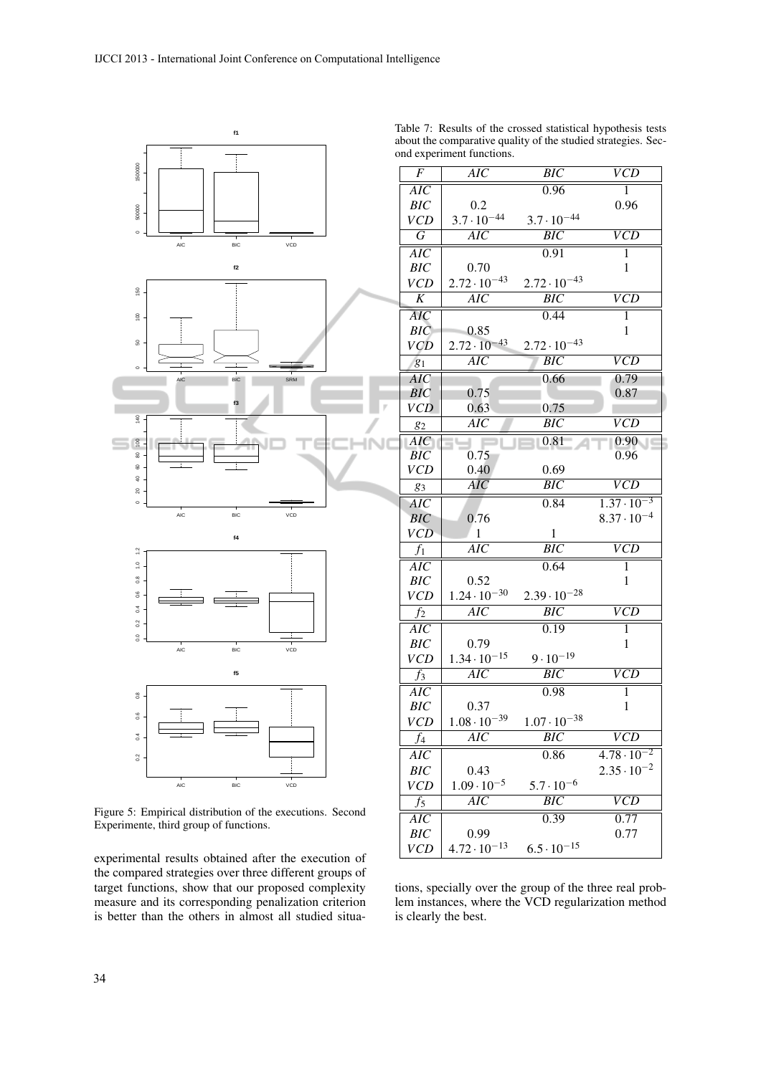

Figure 5: Empirical distribution of the executions. Second Experimente, third group of functions.

experimental results obtained after the execution of the compared strategies over three different groups of target functions, show that our proposed complexity measure and its corresponding penalization criterion is better than the others in almost all studied situa-

Table 7: Results of the crossed statistical hypothesis tests about the comparative quality of the studied strategies. Second experiment functions.

| $\overline{F}$                                                                                    | $\overline{AIC}$      | $\overline{BIC}$      | $\overline{VCD}$                |
|---------------------------------------------------------------------------------------------------|-----------------------|-----------------------|---------------------------------|
| $\overline{AIC}$                                                                                  |                       | 0.96                  | 1                               |
| BIC                                                                                               | 0.2                   |                       | 0.96                            |
| <b>VCD</b>                                                                                        | $3.7 \cdot 10^{-44}$  | $3.7 \cdot 10^{-44}$  |                                 |
| $\overline{G}$                                                                                    | $\overline{AIC}$      | $\overline{BIC}$      | $\overline{VCD}$                |
| $\overline{AIC}$                                                                                  |                       | 0.91                  | $\mathbf{1}$                    |
| BIC                                                                                               | 0.70                  |                       | $\mathbf{1}$                    |
| <b>VCD</b>                                                                                        | $2.72 \cdot 10^{-43}$ | $2.72 \cdot 10^{-43}$ |                                 |
| $\overline{K}$                                                                                    | $\overline{AIC}$      | $\overline{BIC}$      | $\overline{VCD}$                |
| $\overline{AIC}$                                                                                  |                       | 0.44                  | $\mathbf{1}$                    |
| BIC                                                                                               | 0.85                  |                       | $\mathbf{1}$                    |
| <b>VCD</b>                                                                                        | $2.72 \cdot 10^{-43}$ | $2.72 \cdot 10^{-43}$ |                                 |
| $g_1$                                                                                             | $\overline{AIC}$      | $\overline{BIC}$      | $\overline{VCD}$                |
| AIC                                                                                               |                       | 0.66                  | 0.79                            |
| BIC                                                                                               | 0.75                  |                       | 0.87                            |
| <b>VCD</b>                                                                                        | 0.63                  | 0.75                  |                                 |
| $g_{2}% ^{r}=\left\langle \mathcal{A}_{1}\right\rangle \left\langle \mathcal{A}_{2}\right\rangle$ | $\overline{AIC}$      | $\overline{BIC}$      | $\overline{VCD}$                |
| $\overline{AIC}$                                                                                  |                       | 0.81                  | 0.90                            |
| BIC                                                                                               | 0.75                  |                       | 0.96                            |
| <b>VCD</b>                                                                                        | 0.40                  | 0.69                  |                                 |
| 83                                                                                                | $\overline{AIC}$      | $\overline{BIC}$      | $\overline{VCD}$                |
| <b>AIC</b>                                                                                        |                       | 0.84                  | $1.\overline{37 \cdot 10^{-3}}$ |
| <b>BIC</b>                                                                                        | 0.76                  |                       | $8.37 \cdot 10^{-4}$            |
| VCD                                                                                               | 1                     | $\mathbf{1}$          |                                 |
| $f_1$                                                                                             | $\overline{AIC}$      | $\overline{BIC}$      | $\overline{VCD}$                |
| $A\overline{IC}$                                                                                  |                       | 0.64                  | 1                               |
| <b>BIC</b>                                                                                        | 0.52                  |                       | $\mathbf{1}$                    |
| <b>VCD</b>                                                                                        | $1.24 \cdot 10^{-30}$ | $2.39 \cdot 10^{-28}$ |                                 |
| $f_2$                                                                                             | AIC                   | $\overline{BIC}$      | $\overline{VCD}$                |
| $\overline{AIC}$                                                                                  |                       | 0.19                  | 1                               |
| <b>BIC</b>                                                                                        | 0.79                  |                       | 1                               |
| <b>VCD</b>                                                                                        | $1.34 \cdot 10^{-15}$ | $9 \cdot 10^{-19}$    |                                 |
| $f_3$                                                                                             | AIC                   | $\overline{BIC}$      | $\overline{VCD}$                |
| $\overline{AIC}$                                                                                  |                       | 0.98                  | $\mathbf{1}$                    |
| <b>BIC</b>                                                                                        | 0.37                  |                       | $\mathbf{1}$                    |
| <b>VCD</b>                                                                                        | $1.08 \cdot 10^{-39}$ | $1.07 \cdot 10^{-38}$ |                                 |
| $\overline{f_4}$                                                                                  | $\overline{AIC}$      | $\overline{BIC}$      | $\overline{VCD}$                |
| AIC                                                                                               |                       | 0.86                  | $4.78 \cdot 10^{-2}$            |
| BIC                                                                                               | 0.43                  |                       | $2.35 \cdot 10^{-2}$            |
| <b>VCD</b>                                                                                        | $1.09 \cdot 10^{-5}$  | $5.7 \cdot 10^{-6}$   |                                 |
| $f_5$                                                                                             | $\overline{AIC}$      | BIC                   | $\bar{V}CD$                     |
| $A\overline{IC}$                                                                                  |                       | 0.39                  | 0.77                            |
| BIC                                                                                               | 0.99                  |                       | 0.77                            |
|                                                                                                   |                       |                       |                                 |
| <b>VCD</b>                                                                                        | $4.72 \cdot 10^{-13}$ | $6.5 \cdot 10^{-15}$  |                                 |

tions, specially over the group of the three real problem instances, where the VCD regularization method is clearly the best.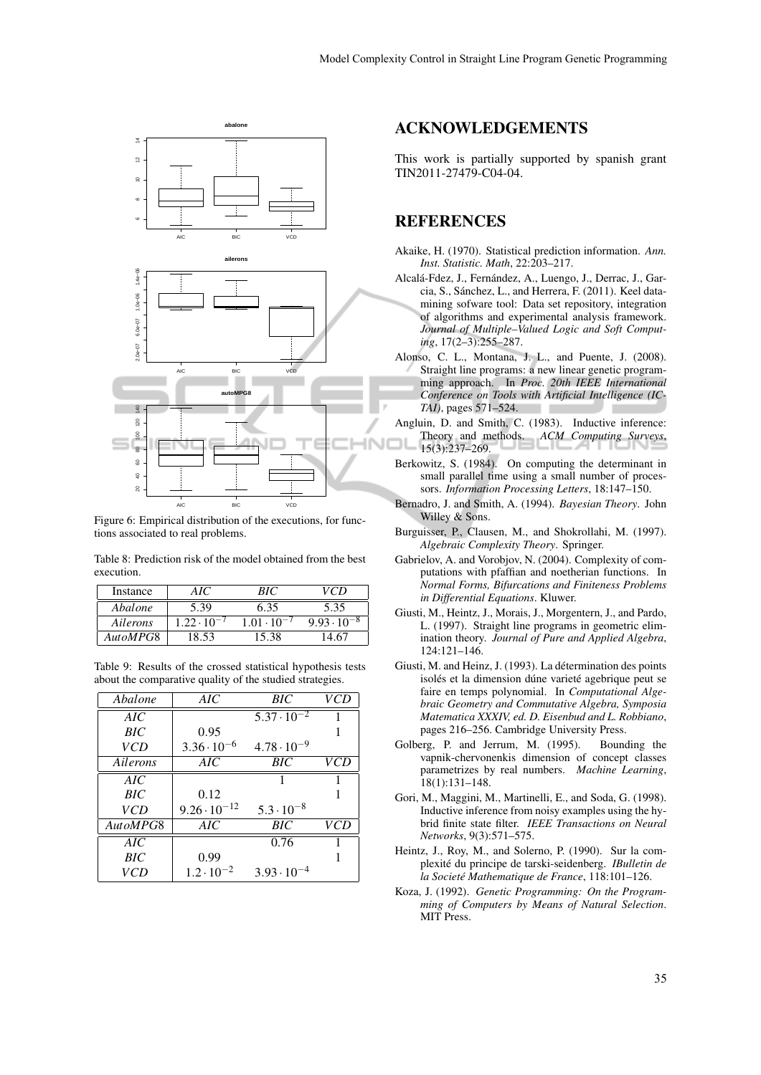

Figure 6: Empirical distribution of the executions, for functions associated to real problems.

Table 8: Prediction risk of the model obtained from the best execution.

| Instance | AIC                  | RIC                  | /CD                  |
|----------|----------------------|----------------------|----------------------|
| Abalone  | 5.39                 | 6.35                 | 5.35                 |
| Ailerons | $1.22 \cdot 10^{-7}$ | $1.01 \cdot 10^{-7}$ | $9.93 \cdot 10^{-8}$ |
| AutoMPG8 | 18.53                | 15.38                |                      |

Table 9: Results of the crossed statistical hypothesis tests about the comparative quality of the studied strategies.

| Abalone    | AIC                   | BIC                             | VCD              |
|------------|-----------------------|---------------------------------|------------------|
| AIC        |                       | $5.\overline{37 \cdot 10^{-2}}$ |                  |
| BIC        | 0.95                  |                                 |                  |
| <b>VCD</b> | $3.36 \cdot 10^{-6}$  | $4.78 \cdot 10^{-9}$            |                  |
| Ailerons   | AIC                   | BIC                             | <b>VCD</b>       |
| AIC        |                       |                                 |                  |
| BIC        | 0.12                  |                                 |                  |
| <b>VCD</b> | $9.26 \cdot 10^{-12}$ | $5.3 \cdot 10^{-8}$             |                  |
| AutoMPG8   | AIC                   | BIC                             | $VC\overline{D}$ |
| AIC        |                       | 0.76                            |                  |
| BIC        | 0.99                  |                                 |                  |
| VCD        | $1.2 \cdot 10^{-2}$   | $3.93 \cdot 10^{-4}$            |                  |

### ACKNOWLEDGEMENTS

This work is partially supported by spanish grant TIN2011-27479-C04-04.

## **REFERENCES**

- Akaike, H. (1970). Statistical prediction information. *Ann. Inst. Statistic. Math*, 22:203–217.
- Alcalá-Fdez, J., Fernández, A., Luengo, J., Derrac, J., Garcia, S., Sanchez, L., and Herrera, F. (2011). Keel data- ´ mining sofware tool: Data set repository, integration of algorithms and experimental analysis framework. *Journal of Multiple–Valued Logic and Soft Computing*, 17(2–3):255–287.
- Alonso, C. L., Montana, J. L., and Puente, J. (2008). Straight line programs: a new linear genetic programming approach. In *Proc. 20th IEEE International Conference on Tools with Artificial Intelligence (IC-TAI)*, pages 571–524.
- Angluin, D. and Smith, C. (1983). Inductive inference: Theory and methods. *ACM Computing Surveys*, 15(3):237–269.
- Berkowitz, S. (1984). On computing the determinant in small parallel time using a small number of processors. *Information Processing Letters*, 18:147–150.
- Bernadro, J. and Smith, A. (1994). *Bayesian Theory*. John Willey & Sons.
- Burguisser, P., Clausen, M., and Shokrollahi, M. (1997). *Algebraic Complexity Theory*. Springer.
- Gabrielov, A. and Vorobjov, N. (2004). Complexity of computations with pfaffian and noetherian functions. In *Normal Forms, Bifurcations and Finiteness Problems in Differential Equations*. Kluwer.
- Giusti, M., Heintz, J., Morais, J., Morgentern, J., and Pardo, L. (1997). Straight line programs in geometric elimination theory. *Journal of Pure and Applied Algebra*, 124:121–146.
- Giusti, M. and Heinz, J. (1993). La determination des points ´ isolés et la dimension dúne varieté agebrique peut se faire en temps polynomial. In *Computational Algebraic Geometry and Commutative Algebra, Symposia Matematica XXXIV, ed. D. Eisenbud and L. Robbiano*, pages 216–256. Cambridge University Press.
- Golberg, P. and Jerrum, M. (1995). Bounding the vapnik-chervonenkis dimension of concept classes parametrizes by real numbers. *Machine Learning*, 18(1):131–148.
- Gori, M., Maggini, M., Martinelli, E., and Soda, G. (1998). Inductive inference from noisy examples using the hybrid finite state filter. *IEEE Transactions on Neural Networks*, 9(3):571–575.
- Heintz, J., Roy, M., and Solerno, P. (1990). Sur la complexite du principe de tarski-seidenberg. ´ *IBulletin de la Societé Mathematique de France*, 118:101-126.
- Koza, J. (1992). *Genetic Programming: On the Programming of Computers by Means of Natural Selection*. MIT Press.